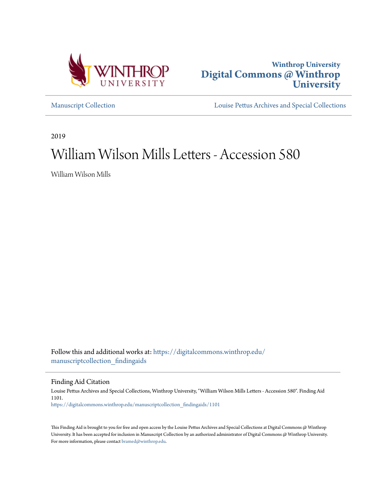



[Manuscript Collection](https://digitalcommons.winthrop.edu/manuscriptcollection_findingaids?utm_source=digitalcommons.winthrop.edu%2Fmanuscriptcollection_findingaids%2F1101&utm_medium=PDF&utm_campaign=PDFCoverPages) [Louise Pettus Archives and Special Collections](https://digitalcommons.winthrop.edu/pettus_archives?utm_source=digitalcommons.winthrop.edu%2Fmanuscriptcollection_findingaids%2F1101&utm_medium=PDF&utm_campaign=PDFCoverPages)

2019

# William Wilson Mills Letters - Accession 580

William Wilson Mills

Follow this and additional works at: [https://digitalcommons.winthrop.edu/](https://digitalcommons.winthrop.edu/manuscriptcollection_findingaids?utm_source=digitalcommons.winthrop.edu%2Fmanuscriptcollection_findingaids%2F1101&utm_medium=PDF&utm_campaign=PDFCoverPages) [manuscriptcollection\\_findingaids](https://digitalcommons.winthrop.edu/manuscriptcollection_findingaids?utm_source=digitalcommons.winthrop.edu%2Fmanuscriptcollection_findingaids%2F1101&utm_medium=PDF&utm_campaign=PDFCoverPages)

Finding Aid Citation

Louise Pettus Archives and Special Collections, Winthrop University, "William Wilson Mills Letters - Accession 580". Finding Aid 1101. [https://digitalcommons.winthrop.edu/manuscriptcollection\\_findingaids/1101](https://digitalcommons.winthrop.edu/manuscriptcollection_findingaids/1101?utm_source=digitalcommons.winthrop.edu%2Fmanuscriptcollection_findingaids%2F1101&utm_medium=PDF&utm_campaign=PDFCoverPages)

This Finding Aid is brought to you for free and open access by the Louise Pettus Archives and Special Collections at Digital Commons @ Winthrop University. It has been accepted for inclusion in Manuscript Collection by an authorized administrator of Digital Commons @ Winthrop University. For more information, please contact [bramed@winthrop.edu.](mailto:bramed@winthrop.edu)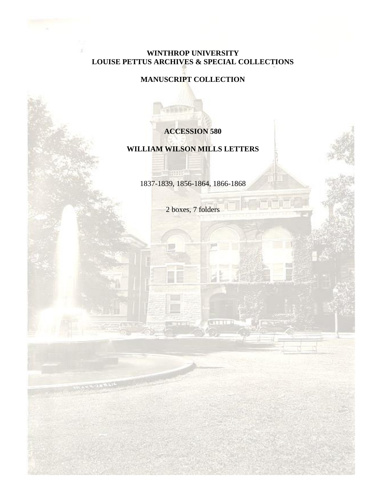## **WINTHROP UNIVERSITY LOUISE PETTUS ARCHIVES & SPECIAL COLLECTIONS**

## **MANUSCRIPT COLLECTION**

## **ACCESSION 580**

## **WILLIAM WILSON MILLS LETTERS**

1837-1839, 1856-1864, 1866-1868

**STAR** 

2 boxes, 7 folders

**CETT**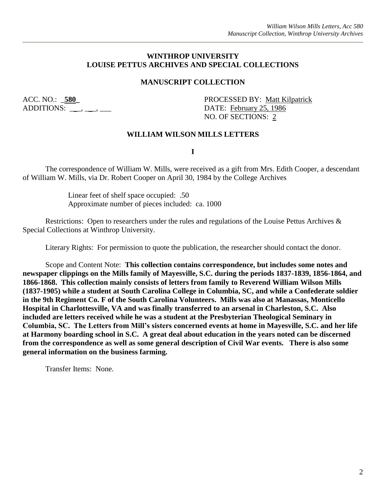### **WINTHROP UNIVERSITY LOUISE PETTUS ARCHIVES AND SPECIAL COLLECTIONS**

## **MANUSCRIPT COLLECTION**

ADDITIONS: \_\_\_, \_\_, \_\_\_, \_\_\_\_ DATE: February 25, 1986

ACC. NO.: \_**580\_** PROCESSED BY: Matt Kilpatrick NO. OF SECTIONS: 2

#### **WILLIAM WILSON MILLS LETTERS**

**I**

The correspondence of William W. Mills, were received as a gift from Mrs. Edith Cooper, a descendant of William W. Mills, via Dr. Robert Cooper on April 30, 1984 by the College Archives

> Linear feet of shelf space occupied: .50 Approximate number of pieces included: ca. 1000

Restrictions: Open to researchers under the rules and regulations of the Louise Pettus Archives & Special Collections at Winthrop University.

Literary Rights: For permission to quote the publication, the researcher should contact the donor.

Scope and Content Note: **This collection contains correspondence, but includes some notes and newspaper clippings on the Mills family of Mayesville, S.C. during the periods 1837-1839, 1856-1864, and 1866-1868. This collection mainly consists of letters from family to Reverend William Wilson Mills (1837-1905) while a student at South Carolina College in Columbia, SC, and while a Confederate soldier in the 9th Regiment Co. F of the South Carolina Volunteers. Mills was also at Manassas, Monticello Hospital in Charlottesville, VA and was finally transferred to an arsenal in Charleston, S.C. Also included are letters received while he was a student at the Presbyterian Theological Seminary in Columbia, SC. The Letters from Mill's sisters concerned events at home in Mayesville, S.C. and her life at Harmony boarding school in S.C. A great deal about education in the years noted can be discerned from the correspondence as well as some general description of Civil War events. There is also some general information on the business farming.**

Transfer Items: None.